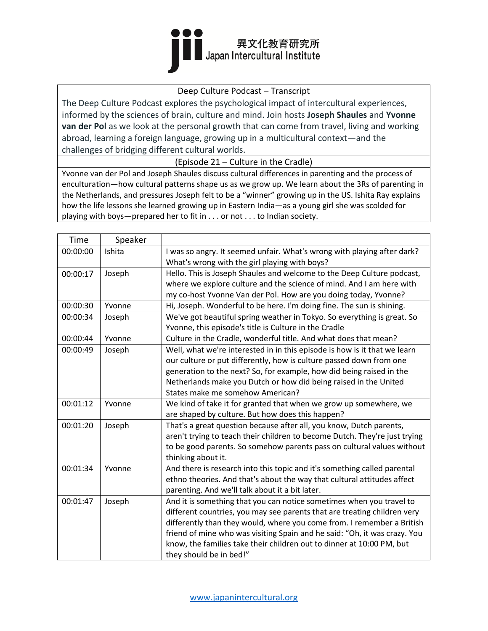

#### Deep Culture Podcast – Transcript

The Deep Culture Podcast explores the psychological impact of intercultural experiences, informed by the sciences of brain, culture and mind. Join hosts **Joseph Shaules** and **Yvonne van der Pol** as we look at the personal growth that can come from travel, living and working abroad, learning a foreign language, growing up in a multicultural context—and the challenges of bridging different cultural worlds.

(Episode 21 – Culture in the Cradle)

Yvonne van der Pol and Joseph Shaules discuss cultural differences in parenting and the process of enculturation—how cultural patterns shape us as we grow up. We learn about the 3Rs of parenting in the Netherlands, and pressures Joseph felt to be a "winner" growing up in the US. Ishita Ray explains how the life lessons she learned growing up in Eastern India—as a young girl she was scolded for playing with boys—prepared her to fit in . . . or not . . . to Indian society.

| Time     | Speaker |                                                                            |
|----------|---------|----------------------------------------------------------------------------|
| 00:00:00 | Ishita  | I was so angry. It seemed unfair. What's wrong with playing after dark?    |
|          |         | What's wrong with the girl playing with boys?                              |
| 00:00:17 | Joseph  | Hello. This is Joseph Shaules and welcome to the Deep Culture podcast,     |
|          |         | where we explore culture and the science of mind. And I am here with       |
|          |         | my co-host Yvonne Van der Pol. How are you doing today, Yvonne?            |
| 00:00:30 | Yvonne  | Hi, Joseph. Wonderful to be here. I'm doing fine. The sun is shining.      |
| 00:00:34 | Joseph  | We've got beautiful spring weather in Tokyo. So everything is great. So    |
|          |         | Yvonne, this episode's title is Culture in the Cradle                      |
| 00:00:44 | Yvonne  | Culture in the Cradle, wonderful title. And what does that mean?           |
| 00:00:49 | Joseph  | Well, what we're interested in in this episode is how is it that we learn  |
|          |         | our culture or put differently, how is culture passed down from one        |
|          |         | generation to the next? So, for example, how did being raised in the       |
|          |         | Netherlands make you Dutch or how did being raised in the United           |
|          |         | States make me somehow American?                                           |
| 00:01:12 | Yvonne  | We kind of take it for granted that when we grow up somewhere, we          |
|          |         | are shaped by culture. But how does this happen?                           |
| 00:01:20 | Joseph  | That's a great question because after all, you know, Dutch parents,        |
|          |         | aren't trying to teach their children to become Dutch. They're just trying |
|          |         | to be good parents. So somehow parents pass on cultural values without     |
|          |         | thinking about it.                                                         |
| 00:01:34 | Yvonne  | And there is research into this topic and it's something called parental   |
|          |         | ethno theories. And that's about the way that cultural attitudes affect    |
|          |         | parenting. And we'll talk about it a bit later.                            |
| 00:01:47 | Joseph  | And it is something that you can notice sometimes when you travel to       |
|          |         | different countries, you may see parents that are treating children very   |
|          |         | differently than they would, where you come from. I remember a British     |
|          |         | friend of mine who was visiting Spain and he said: "Oh, it was crazy. You  |
|          |         | know, the families take their children out to dinner at 10:00 PM, but      |
|          |         | they should be in bed!"                                                    |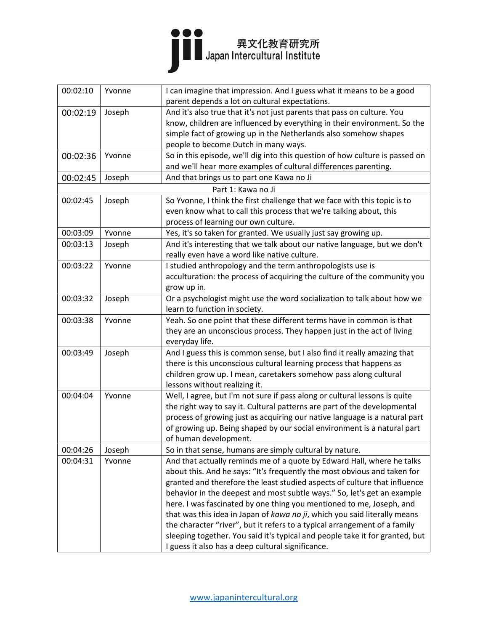

| 00:02:10 | Yvonne | I can imagine that impression. And I guess what it means to be a good<br>parent depends a lot on cultural expectations. |
|----------|--------|-------------------------------------------------------------------------------------------------------------------------|
| 00:02:19 | Joseph | And it's also true that it's not just parents that pass on culture. You                                                 |
|          |        | know, children are influenced by everything in their environment. So the                                                |
|          |        | simple fact of growing up in the Netherlands also somehow shapes                                                        |
|          |        | people to become Dutch in many ways.                                                                                    |
| 00:02:36 | Yvonne | So in this episode, we'll dig into this question of how culture is passed on                                            |
|          |        | and we'll hear more examples of cultural differences parenting.                                                         |
| 00:02:45 | Joseph | And that brings us to part one Kawa no Ji                                                                               |
|          |        | Part 1: Kawa no Ji                                                                                                      |
| 00:02:45 | Joseph | So Yvonne, I think the first challenge that we face with this topic is to                                               |
|          |        | even know what to call this process that we're talking about, this                                                      |
|          |        | process of learning our own culture.                                                                                    |
| 00:03:09 | Yvonne | Yes, it's so taken for granted. We usually just say growing up.                                                         |
| 00:03:13 | Joseph | And it's interesting that we talk about our native language, but we don't                                               |
|          |        | really even have a word like native culture.                                                                            |
| 00:03:22 | Yvonne | I studied anthropology and the term anthropologists use is                                                              |
|          |        | acculturation: the process of acquiring the culture of the community you                                                |
|          |        | grow up in.                                                                                                             |
| 00:03:32 | Joseph | Or a psychologist might use the word socialization to talk about how we                                                 |
|          |        | learn to function in society.                                                                                           |
| 00:03:38 | Yvonne | Yeah. So one point that these different terms have in common is that                                                    |
|          |        | they are an unconscious process. They happen just in the act of living                                                  |
|          |        | everyday life.                                                                                                          |
| 00:03:49 | Joseph | And I guess this is common sense, but I also find it really amazing that                                                |
|          |        | there is this unconscious cultural learning process that happens as                                                     |
|          |        | children grow up. I mean, caretakers somehow pass along cultural                                                        |
|          |        | lessons without realizing it.                                                                                           |
| 00:04:04 | Yvonne | Well, I agree, but I'm not sure if pass along or cultural lessons is quite                                              |
|          |        | the right way to say it. Cultural patterns are part of the developmental                                                |
|          |        | process of growing just as acquiring our native language is a natural part                                              |
|          |        | of growing up. Being shaped by our social environment is a natural part                                                 |
|          |        | of human development.                                                                                                   |
| 00:04:26 | Joseph | So in that sense, humans are simply cultural by nature.                                                                 |
| 00:04:31 | Yvonne | And that actually reminds me of a quote by Edward Hall, where he talks                                                  |
|          |        | about this. And he says: "It's frequently the most obvious and taken for                                                |
|          |        | granted and therefore the least studied aspects of culture that influence                                               |
|          |        | behavior in the deepest and most subtle ways." So, let's get an example                                                 |
|          |        | here. I was fascinated by one thing you mentioned to me, Joseph, and                                                    |
|          |        | that was this idea in Japan of kawa no ji, which you said literally means                                               |
|          |        | the character "river", but it refers to a typical arrangement of a family                                               |
|          |        | sleeping together. You said it's typical and people take it for granted, but                                            |
|          |        | I guess it also has a deep cultural significance.                                                                       |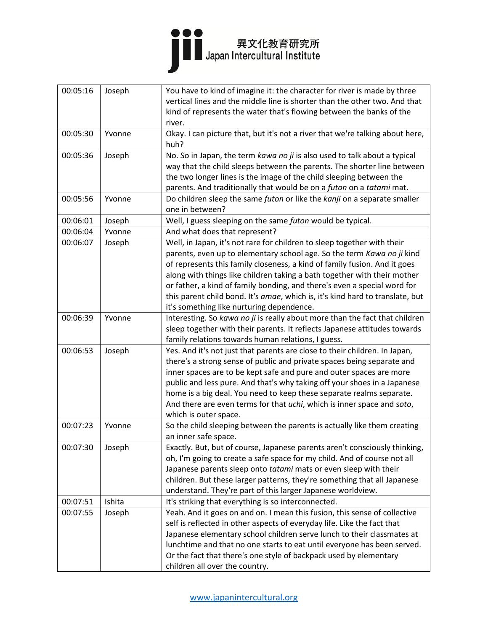

| 00:05:16 | Joseph | You have to kind of imagine it: the character for river is made by three                    |
|----------|--------|---------------------------------------------------------------------------------------------|
|          |        | vertical lines and the middle line is shorter than the other two. And that                  |
|          |        | kind of represents the water that's flowing between the banks of the                        |
|          |        | river.                                                                                      |
| 00:05:30 | Yvonne | Okay. I can picture that, but it's not a river that we're talking about here,               |
|          |        | huh?                                                                                        |
| 00:05:36 | Joseph | No. So in Japan, the term kawa no ji is also used to talk about a typical                   |
|          |        | way that the child sleeps between the parents. The shorter line between                     |
|          |        | the two longer lines is the image of the child sleeping between the                         |
|          |        | parents. And traditionally that would be on a futon on a tatami mat.                        |
| 00:05:56 | Yvonne | Do children sleep the same futon or like the kanji on a separate smaller<br>one in between? |
| 00:06:01 | Joseph | Well, I guess sleeping on the same futon would be typical.                                  |
| 00:06:04 | Yvonne | And what does that represent?                                                               |
| 00:06:07 | Joseph | Well, in Japan, it's not rare for children to sleep together with their                     |
|          |        | parents, even up to elementary school age. So the term Kawa no ji kind                      |
|          |        | of represents this family closeness, a kind of family fusion. And it goes                   |
|          |        | along with things like children taking a bath together with their mother                    |
|          |        | or father, a kind of family bonding, and there's even a special word for                    |
|          |        | this parent child bond. It's amae, which is, it's kind hard to translate, but               |
|          |        | it's something like nurturing dependence.                                                   |
| 00:06:39 | Yvonne | Interesting. So kawa no ji is really about more than the fact that children                 |
|          |        | sleep together with their parents. It reflects Japanese attitudes towards                   |
|          |        | family relations towards human relations, I guess.                                          |
| 00:06:53 | Joseph | Yes. And it's not just that parents are close to their children. In Japan,                  |
|          |        | there's a strong sense of public and private spaces being separate and                      |
|          |        | inner spaces are to be kept safe and pure and outer spaces are more                         |
|          |        | public and less pure. And that's why taking off your shoes in a Japanese                    |
|          |        | home is a big deal. You need to keep these separate realms separate.                        |
|          |        | And there are even terms for that uchi, which is inner space and soto,                      |
|          |        | which is outer space.                                                                       |
| 00:07:23 | Yvonne | So the child sleeping between the parents is actually like them creating                    |
|          |        | an inner safe space.                                                                        |
| 00:07:30 | Joseph | Exactly. But, but of course, Japanese parents aren't consciously thinking,                  |
|          |        | oh, I'm going to create a safe space for my child. And of course not all                    |
|          |        | Japanese parents sleep onto tatami mats or even sleep with their                            |
|          |        | children. But these larger patterns, they're something that all Japanese                    |
|          |        | understand. They're part of this larger Japanese worldview.                                 |
| 00:07:51 | Ishita | It's striking that everything is so interconnected.                                         |
| 00:07:55 | Joseph | Yeah. And it goes on and on. I mean this fusion, this sense of collective                   |
|          |        | self is reflected in other aspects of everyday life. Like the fact that                     |
|          |        | Japanese elementary school children serve lunch to their classmates at                      |
|          |        | lunchtime and that no one starts to eat until everyone has been served.                     |
|          |        | Or the fact that there's one style of backpack used by elementary                           |
|          |        | children all over the country.                                                              |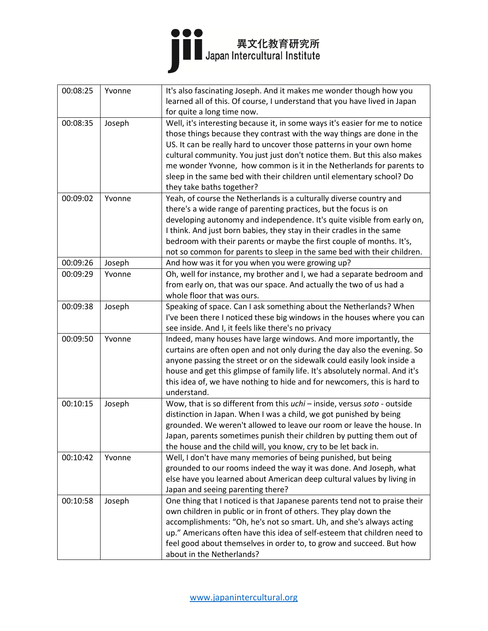## ●●●<br>■■ Japan Intercultural Institute

| 00:08:25 | Yvonne | It's also fascinating Joseph. And it makes me wonder though how you          |
|----------|--------|------------------------------------------------------------------------------|
|          |        | learned all of this. Of course, I understand that you have lived in Japan    |
|          |        | for quite a long time now.                                                   |
| 00:08:35 | Joseph | Well, it's interesting because it, in some ways it's easier for me to notice |
|          |        | those things because they contrast with the way things are done in the       |
|          |        | US. It can be really hard to uncover those patterns in your own home         |
|          |        | cultural community. You just just don't notice them. But this also makes     |
|          |        | me wonder Yvonne, how common is it in the Netherlands for parents to         |
|          |        | sleep in the same bed with their children until elementary school? Do        |
|          |        | they take baths together?                                                    |
| 00:09:02 | Yvonne | Yeah, of course the Netherlands is a culturally diverse country and          |
|          |        | there's a wide range of parenting practices, but the focus is on             |
|          |        | developing autonomy and independence. It's quite visible from early on,      |
|          |        | I think. And just born babies, they stay in their cradles in the same        |
|          |        | bedroom with their parents or maybe the first couple of months. It's,        |
|          |        | not so common for parents to sleep in the same bed with their children.      |
| 00:09:26 | Joseph | And how was it for you when you were growing up?                             |
| 00:09:29 | Yvonne | Oh, well for instance, my brother and I, we had a separate bedroom and       |
|          |        | from early on, that was our space. And actually the two of us had a          |
|          |        | whole floor that was ours.                                                   |
| 00:09:38 | Joseph | Speaking of space. Can I ask something about the Netherlands? When           |
|          |        | I've been there I noticed these big windows in the houses where you can      |
|          |        | see inside. And I, it feels like there's no privacy                          |
| 00:09:50 | Yvonne | Indeed, many houses have large windows. And more importantly, the            |
|          |        | curtains are often open and not only during the day also the evening. So     |
|          |        | anyone passing the street or on the sidewalk could easily look inside a      |
|          |        | house and get this glimpse of family life. It's absolutely normal. And it's  |
|          |        | this idea of, we have nothing to hide and for newcomers, this is hard to     |
|          |        | understand.                                                                  |
| 00:10:15 | Joseph | Wow, that is so different from this uchi - inside, versus soto - outside     |
|          |        | distinction in Japan. When I was a child, we got punished by being           |
|          |        | grounded. We weren't allowed to leave our room or leave the house. In        |
|          |        | Japan, parents sometimes punish their children by putting them out of        |
|          |        | the house and the child will, you know, cry to be let back in.               |
| 00:10:42 | Yvonne | Well, I don't have many memories of being punished, but being                |
|          |        | grounded to our rooms indeed the way it was done. And Joseph, what           |
|          |        | else have you learned about American deep cultural values by living in       |
|          |        | Japan and seeing parenting there?                                            |
| 00:10:58 | Joseph | One thing that I noticed is that Japanese parents tend not to praise their   |
|          |        | own children in public or in front of others. They play down the             |
|          |        | accomplishments: "Oh, he's not so smart. Uh, and she's always acting         |
|          |        | up." Americans often have this idea of self-esteem that children need to     |
|          |        | feel good about themselves in order to, to grow and succeed. But how         |
|          |        | about in the Netherlands?                                                    |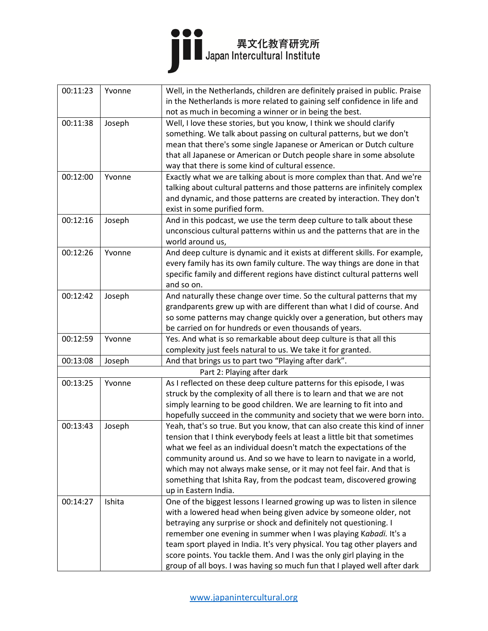| 00:11:23 | Yvonne | Well, in the Netherlands, children are definitely praised in public. Praise<br>in the Netherlands is more related to gaining self confidence in life and |
|----------|--------|----------------------------------------------------------------------------------------------------------------------------------------------------------|
|          |        | not as much in becoming a winner or in being the best.                                                                                                   |
| 00:11:38 | Joseph | Well, I love these stories, but you know, I think we should clarify                                                                                      |
|          |        | something. We talk about passing on cultural patterns, but we don't                                                                                      |
|          |        | mean that there's some single Japanese or American or Dutch culture                                                                                      |
|          |        | that all Japanese or American or Dutch people share in some absolute                                                                                     |
|          |        | way that there is some kind of cultural essence.                                                                                                         |
| 00:12:00 | Yvonne | Exactly what we are talking about is more complex than that. And we're                                                                                   |
|          |        | talking about cultural patterns and those patterns are infinitely complex                                                                                |
|          |        | and dynamic, and those patterns are created by interaction. They don't                                                                                   |
|          |        | exist in some purified form.                                                                                                                             |
| 00:12:16 | Joseph | And in this podcast, we use the term deep culture to talk about these                                                                                    |
|          |        | unconscious cultural patterns within us and the patterns that are in the                                                                                 |
|          |        | world around us,                                                                                                                                         |
| 00:12:26 | Yvonne | And deep culture is dynamic and it exists at different skills. For example,                                                                              |
|          |        | every family has its own family culture. The way things are done in that                                                                                 |
|          |        | specific family and different regions have distinct cultural patterns well                                                                               |
|          |        | and so on.                                                                                                                                               |
| 00:12:42 | Joseph | And naturally these change over time. So the cultural patterns that my                                                                                   |
|          |        | grandparents grew up with are different than what I did of course. And                                                                                   |
|          |        | so some patterns may change quickly over a generation, but others may                                                                                    |
|          |        | be carried on for hundreds or even thousands of years.                                                                                                   |
| 00:12:59 | Yvonne | Yes. And what is so remarkable about deep culture is that all this                                                                                       |
|          |        | complexity just feels natural to us. We take it for granted.                                                                                             |
| 00:13:08 | Joseph | And that brings us to part two "Playing after dark".                                                                                                     |
|          |        | Part 2: Playing after dark                                                                                                                               |
| 00:13:25 | Yvonne | As I reflected on these deep culture patterns for this episode, I was                                                                                    |
|          |        | struck by the complexity of all there is to learn and that we are not                                                                                    |
|          |        | simply learning to be good children. We are learning to fit into and                                                                                     |
|          |        | hopefully succeed in the community and society that we were born into.                                                                                   |
| 00:13:43 | Joseph | Yeah, that's so true. But you know, that can also create this kind of inner                                                                              |
|          |        | tension that I think everybody feels at least a little bit that sometimes                                                                                |
|          |        | what we feel as an individual doesn't match the expectations of the                                                                                      |
|          |        | community around us. And so we have to learn to navigate in a world,                                                                                     |
|          |        | which may not always make sense, or it may not feel fair. And that is                                                                                    |
|          |        | something that Ishita Ray, from the podcast team, discovered growing                                                                                     |
|          |        | up in Eastern India.                                                                                                                                     |
| 00:14:27 | Ishita | One of the biggest lessons I learned growing up was to listen in silence                                                                                 |
|          |        | with a lowered head when being given advice by someone older, not                                                                                        |
|          |        | betraying any surprise or shock and definitely not questioning. I                                                                                        |
|          |        | remember one evening in summer when I was playing Kabadi. It's a                                                                                         |
|          |        | team sport played in India. It's very physical. You tag other players and                                                                                |
|          |        | score points. You tackle them. And I was the only girl playing in the                                                                                    |
|          |        | group of all boys. I was having so much fun that I played well after dark                                                                                |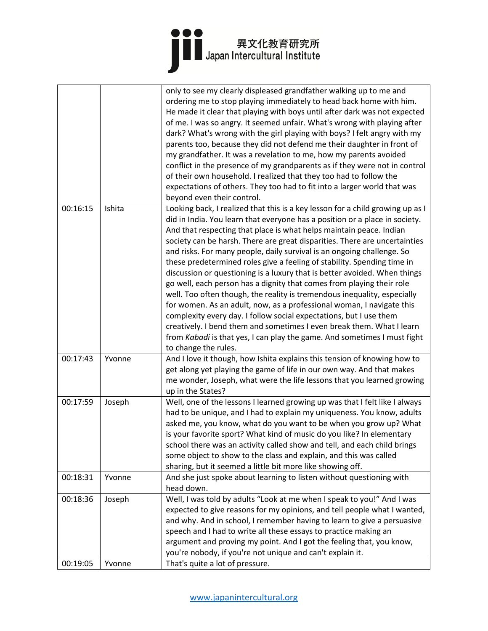|          |        | only to see my clearly displeased grandfather walking up to me and<br>ordering me to stop playing immediately to head back home with him.<br>He made it clear that playing with boys until after dark was not expected<br>of me. I was so angry. It seemed unfair. What's wrong with playing after<br>dark? What's wrong with the girl playing with boys? I felt angry with my<br>parents too, because they did not defend me their daughter in front of<br>my grandfather. It was a revelation to me, how my parents avoided<br>conflict in the presence of my grandparents as if they were not in control<br>of their own household. I realized that they too had to follow the<br>expectations of others. They too had to fit into a larger world that was                                                                                                                                                                                                                                                                         |
|----------|--------|---------------------------------------------------------------------------------------------------------------------------------------------------------------------------------------------------------------------------------------------------------------------------------------------------------------------------------------------------------------------------------------------------------------------------------------------------------------------------------------------------------------------------------------------------------------------------------------------------------------------------------------------------------------------------------------------------------------------------------------------------------------------------------------------------------------------------------------------------------------------------------------------------------------------------------------------------------------------------------------------------------------------------------------|
|          |        | beyond even their control.                                                                                                                                                                                                                                                                                                                                                                                                                                                                                                                                                                                                                                                                                                                                                                                                                                                                                                                                                                                                            |
| 00:16:15 | Ishita | Looking back, I realized that this is a key lesson for a child growing up as I<br>did in India. You learn that everyone has a position or a place in society.<br>And that respecting that place is what helps maintain peace. Indian<br>society can be harsh. There are great disparities. There are uncertainties<br>and risks. For many people, daily survival is an ongoing challenge. So<br>these predetermined roles give a feeling of stability. Spending time in<br>discussion or questioning is a luxury that is better avoided. When things<br>go well, each person has a dignity that comes from playing their role<br>well. Too often though, the reality is tremendous inequality, especially<br>for women. As an adult, now, as a professional woman, I navigate this<br>complexity every day. I follow social expectations, but I use them<br>creatively. I bend them and sometimes I even break them. What I learn<br>from Kabadi is that yes, I can play the game. And sometimes I must fight<br>to change the rules. |
| 00:17:43 | Yvonne | And I love it though, how Ishita explains this tension of knowing how to<br>get along yet playing the game of life in our own way. And that makes<br>me wonder, Joseph, what were the life lessons that you learned growing<br>up in the States?                                                                                                                                                                                                                                                                                                                                                                                                                                                                                                                                                                                                                                                                                                                                                                                      |
| 00:17:59 | Joseph | Well, one of the lessons I learned growing up was that I felt like I always<br>had to be unique, and I had to explain my uniqueness. You know, adults<br>asked me, you know, what do you want to be when you grow up? What<br>is your favorite sport? What kind of music do you like? In elementary<br>school there was an activity called show and tell, and each child brings<br>some object to show to the class and explain, and this was called<br>sharing, but it seemed a little bit more like showing off.                                                                                                                                                                                                                                                                                                                                                                                                                                                                                                                    |
| 00:18:31 | Yvonne | And she just spoke about learning to listen without questioning with<br>head down.                                                                                                                                                                                                                                                                                                                                                                                                                                                                                                                                                                                                                                                                                                                                                                                                                                                                                                                                                    |
| 00:18:36 | Joseph | Well, I was told by adults "Look at me when I speak to you!" And I was<br>expected to give reasons for my opinions, and tell people what I wanted,<br>and why. And in school, I remember having to learn to give a persuasive<br>speech and I had to write all these essays to practice making an<br>argument and proving my point. And I got the feeling that, you know,<br>you're nobody, if you're not unique and can't explain it.                                                                                                                                                                                                                                                                                                                                                                                                                                                                                                                                                                                                |
| 00:19:05 | Yvonne | That's quite a lot of pressure.                                                                                                                                                                                                                                                                                                                                                                                                                                                                                                                                                                                                                                                                                                                                                                                                                                                                                                                                                                                                       |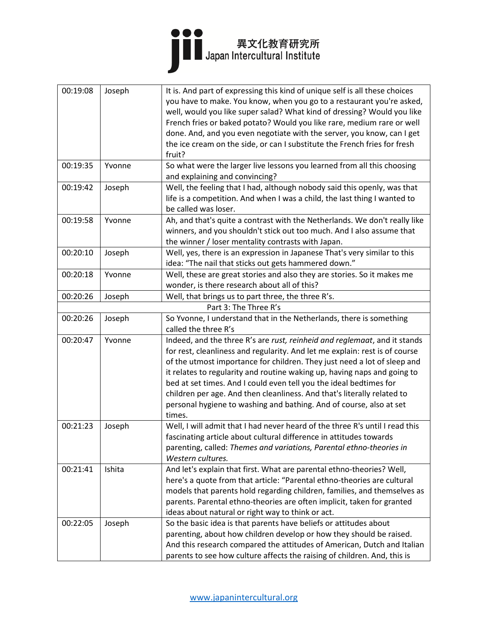| 00:19:08 | Joseph | It is. And part of expressing this kind of unique self is all these choices<br>you have to make. You know, when you go to a restaurant you're asked,<br>well, would you like super salad? What kind of dressing? Would you like<br>French fries or baked potato? Would you like rare, medium rare or well<br>done. And, and you even negotiate with the server, you know, can I get<br>the ice cream on the side, or can I substitute the French fries for fresh                                                                                   |
|----------|--------|----------------------------------------------------------------------------------------------------------------------------------------------------------------------------------------------------------------------------------------------------------------------------------------------------------------------------------------------------------------------------------------------------------------------------------------------------------------------------------------------------------------------------------------------------|
| 00:19:35 | Yvonne | fruit?<br>So what were the larger live lessons you learned from all this choosing<br>and explaining and convincing?                                                                                                                                                                                                                                                                                                                                                                                                                                |
| 00:19:42 | Joseph | Well, the feeling that I had, although nobody said this openly, was that<br>life is a competition. And when I was a child, the last thing I wanted to<br>be called was loser.                                                                                                                                                                                                                                                                                                                                                                      |
| 00:19:58 | Yvonne | Ah, and that's quite a contrast with the Netherlands. We don't really like<br>winners, and you shouldn't stick out too much. And I also assume that<br>the winner / loser mentality contrasts with Japan.                                                                                                                                                                                                                                                                                                                                          |
| 00:20:10 | Joseph | Well, yes, there is an expression in Japanese That's very similar to this<br>idea: "The nail that sticks out gets hammered down."                                                                                                                                                                                                                                                                                                                                                                                                                  |
| 00:20:18 | Yvonne | Well, these are great stories and also they are stories. So it makes me<br>wonder, is there research about all of this?                                                                                                                                                                                                                                                                                                                                                                                                                            |
| 00:20:26 | Joseph | Well, that brings us to part three, the three R's.                                                                                                                                                                                                                                                                                                                                                                                                                                                                                                 |
|          |        | Part 3: The Three R's                                                                                                                                                                                                                                                                                                                                                                                                                                                                                                                              |
| 00:20:26 | Joseph | So Yvonne, I understand that in the Netherlands, there is something<br>called the three R's                                                                                                                                                                                                                                                                                                                                                                                                                                                        |
| 00:20:47 | Yvonne | Indeed, and the three R's are rust, reinheid and reglemaat, and it stands<br>for rest, cleanliness and regularity. And let me explain: rest is of course<br>of the utmost importance for children. They just need a lot of sleep and<br>it relates to regularity and routine waking up, having naps and going to<br>bed at set times. And I could even tell you the ideal bedtimes for<br>children per age. And then cleanliness. And that's literally related to<br>personal hygiene to washing and bathing. And of course, also at set<br>times. |
| 00:21:23 | Joseph | Well, I will admit that I had never heard of the three R's until I read this<br>fascinating article about cultural difference in attitudes towards<br>parenting, called: Themes and variations, Parental ethno-theories in<br>Western cultures.                                                                                                                                                                                                                                                                                                    |
| 00:21:41 | Ishita | And let's explain that first. What are parental ethno-theories? Well,<br>here's a quote from that article: "Parental ethno-theories are cultural<br>models that parents hold regarding children, families, and themselves as<br>parents. Parental ethno-theories are often implicit, taken for granted<br>ideas about natural or right way to think or act.                                                                                                                                                                                        |
| 00:22:05 | Joseph | So the basic idea is that parents have beliefs or attitudes about<br>parenting, about how children develop or how they should be raised.<br>And this research compared the attitudes of American, Dutch and Italian<br>parents to see how culture affects the raising of children. And, this is                                                                                                                                                                                                                                                    |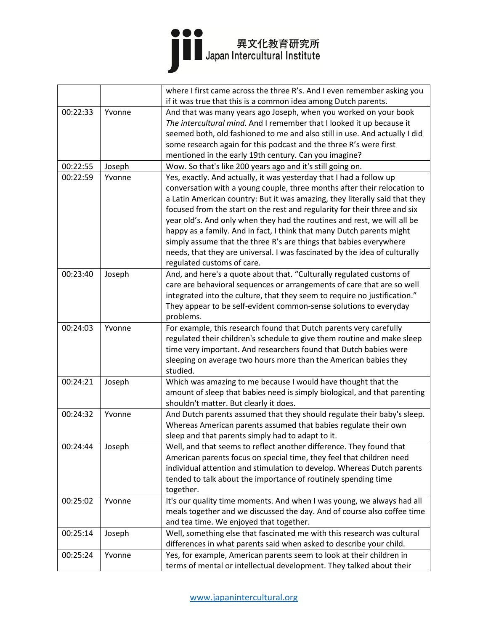### ●●●<br>■■ 異文化教育研究所<br>■ Japan Intercultural Institute

|          |        | where I first came across the three R's. And I even remember asking you     |
|----------|--------|-----------------------------------------------------------------------------|
|          |        | if it was true that this is a common idea among Dutch parents.              |
| 00:22:33 | Yvonne | And that was many years ago Joseph, when you worked on your book            |
|          |        | The intercultural mind. And I remember that I looked it up because it       |
|          |        | seemed both, old fashioned to me and also still in use. And actually I did  |
|          |        | some research again for this podcast and the three R's were first           |
|          |        | mentioned in the early 19th century. Can you imagine?                       |
| 00:22:55 | Joseph | Wow. So that's like 200 years ago and it's still going on.                  |
| 00:22:59 | Yvonne | Yes, exactly. And actually, it was yesterday that I had a follow up         |
|          |        | conversation with a young couple, three months after their relocation to    |
|          |        | a Latin American country: But it was amazing, they literally said that they |
|          |        | focused from the start on the rest and regularity for their three and six   |
|          |        | year old's. And only when they had the routines and rest, we will all be    |
|          |        | happy as a family. And in fact, I think that many Dutch parents might       |
|          |        | simply assume that the three R's are things that babies everywhere          |
|          |        | needs, that they are universal. I was fascinated by the idea of culturally  |
|          |        | regulated customs of care.                                                  |
| 00:23:40 | Joseph | And, and here's a quote about that. "Culturally regulated customs of        |
|          |        | care are behavioral sequences or arrangements of care that are so well      |
|          |        | integrated into the culture, that they seem to require no justification."   |
|          |        | They appear to be self-evident common-sense solutions to everyday           |
|          |        | problems.                                                                   |
| 00:24:03 | Yvonne | For example, this research found that Dutch parents very carefully          |
|          |        | regulated their children's schedule to give them routine and make sleep     |
|          |        | time very important. And researchers found that Dutch babies were           |
|          |        | sleeping on average two hours more than the American babies they            |
|          |        | studied.                                                                    |
| 00:24:21 | Joseph | Which was amazing to me because I would have thought that the               |
|          |        | amount of sleep that babies need is simply biological, and that parenting   |
|          |        | shouldn't matter. But clearly it does.                                      |
| 00:24:32 | Yvonne | And Dutch parents assumed that they should regulate their baby's sleep.     |
|          |        | Whereas American parents assumed that babies regulate their own             |
|          |        | sleep and that parents simply had to adapt to it.                           |
| 00:24:44 | Joseph | Well, and that seems to reflect another difference. They found that         |
|          |        | American parents focus on special time, they feel that children need        |
|          |        | individual attention and stimulation to develop. Whereas Dutch parents      |
|          |        | tended to talk about the importance of routinely spending time              |
|          |        | together.                                                                   |
| 00:25:02 | Yvonne | It's our quality time moments. And when I was young, we always had all      |
|          |        | meals together and we discussed the day. And of course also coffee time     |
|          |        | and tea time. We enjoyed that together.                                     |
| 00:25:14 | Joseph | Well, something else that fascinated me with this research was cultural     |
|          |        | differences in what parents said when asked to describe your child.         |
| 00:25:24 | Yvonne | Yes, for example, American parents seem to look at their children in        |
|          |        | terms of mental or intellectual development. They talked about their        |
|          |        |                                                                             |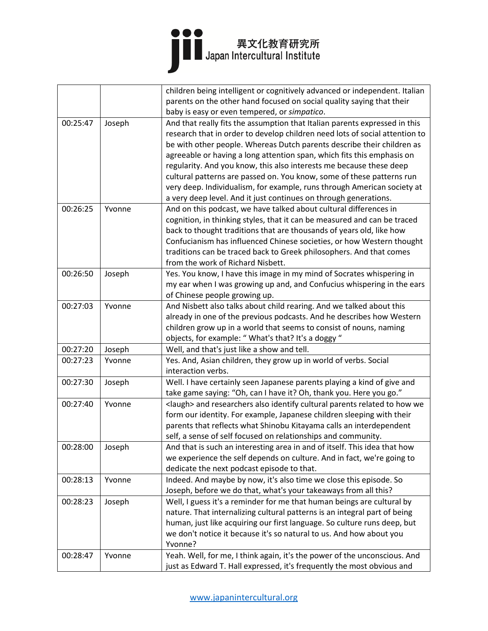|          |        | children being intelligent or cognitively advanced or independent. Italian       |
|----------|--------|----------------------------------------------------------------------------------|
|          |        | parents on the other hand focused on social quality saying that their            |
|          |        | baby is easy or even tempered, or simpatico.                                     |
| 00:25:47 | Joseph | And that really fits the assumption that Italian parents expressed in this       |
|          |        | research that in order to develop children need lots of social attention to      |
|          |        | be with other people. Whereas Dutch parents describe their children as           |
|          |        | agreeable or having a long attention span, which fits this emphasis on           |
|          |        | regularity. And you know, this also interests me because these deep              |
|          |        | cultural patterns are passed on. You know, some of these patterns run            |
|          |        | very deep. Individualism, for example, runs through American society at          |
|          |        | a very deep level. And it just continues on through generations.                 |
| 00:26:25 | Yvonne | And on this podcast, we have talked about cultural differences in                |
|          |        | cognition, in thinking styles, that it can be measured and can be traced         |
|          |        | back to thought traditions that are thousands of years old, like how             |
|          |        | Confucianism has influenced Chinese societies, or how Western thought            |
|          |        | traditions can be traced back to Greek philosophers. And that comes              |
|          |        | from the work of Richard Nisbett.                                                |
| 00:26:50 | Joseph | Yes. You know, I have this image in my mind of Socrates whispering in            |
|          |        | my ear when I was growing up and, and Confucius whispering in the ears           |
|          |        | of Chinese people growing up.                                                    |
| 00:27:03 | Yvonne | And Nisbett also talks about child rearing. And we talked about this             |
|          |        | already in one of the previous podcasts. And he describes how Western            |
|          |        | children grow up in a world that seems to consist of nouns, naming               |
|          |        | objects, for example: "What's that? It's a doggy "                               |
| 00:27:20 | Joseph | Well, and that's just like a show and tell.                                      |
| 00:27:23 | Yvonne | Yes. And, Asian children, they grow up in world of verbs. Social                 |
|          |        | interaction verbs.                                                               |
| 00:27:30 | Joseph | Well. I have certainly seen Japanese parents playing a kind of give and          |
|          |        | take game saying: "Oh, can I have it? Oh, thank you. Here you go."               |
| 00:27:40 | Yvonne | <laugh> and researchers also identify cultural parents related to how we</laugh> |
|          |        | form our identity. For example, Japanese children sleeping with their            |
|          |        | parents that reflects what Shinobu Kitayama calls an interdependent              |
|          |        | self, a sense of self focused on relationships and community.                    |
| 00:28:00 | Joseph | And that is such an interesting area in and of itself. This idea that how        |
|          |        | we experience the self depends on culture. And in fact, we're going to           |
|          |        | dedicate the next podcast episode to that.                                       |
| 00:28:13 | Yvonne | Indeed. And maybe by now, it's also time we close this episode. So               |
|          |        | Joseph, before we do that, what's your takeaways from all this?                  |
| 00:28:23 | Joseph | Well, I guess it's a reminder for me that human beings are cultural by           |
|          |        | nature. That internalizing cultural patterns is an integral part of being        |
|          |        | human, just like acquiring our first language. So culture runs deep, but         |
|          |        | we don't notice it because it's so natural to us. And how about you              |
|          |        | Yvonne?                                                                          |
| 00:28:47 | Yvonne | Yeah. Well, for me, I think again, it's the power of the unconscious. And        |
|          |        | just as Edward T. Hall expressed, it's frequently the most obvious and           |